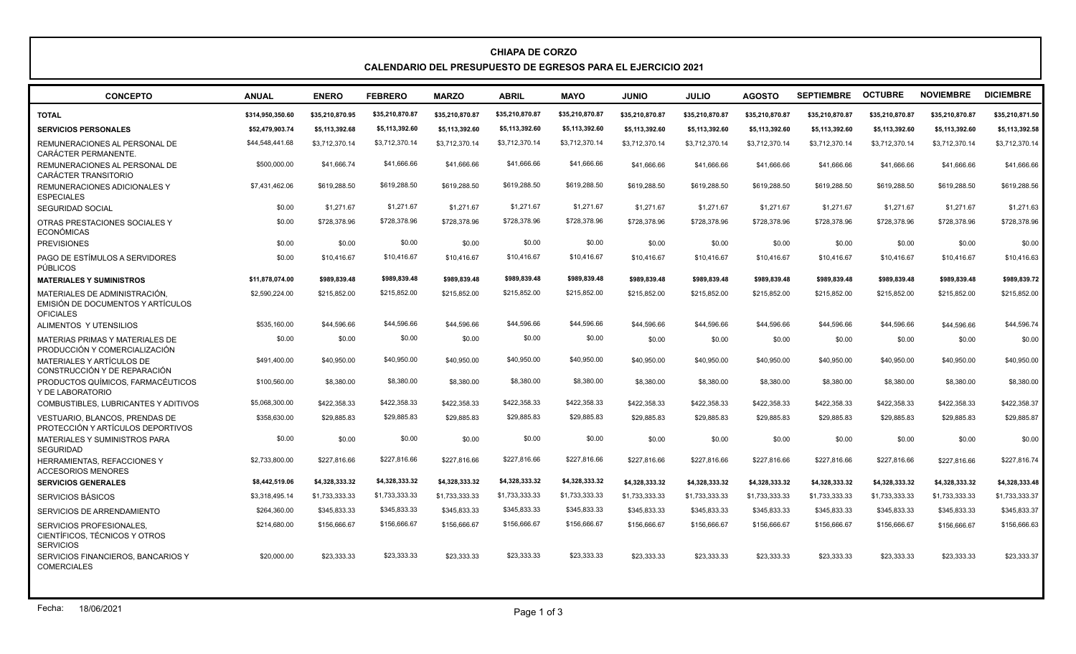## **CHIAPA DE CORZO CALENDARIO DEL PRESUPUESTO DE EGRESOS PARA EL EJERCICIO 2021**

| <b>CONCEPTO</b>                                                                        | <b>ANUAL</b>     | <b>ENERO</b>    | <b>FEBRERO</b>  | <b>MARZO</b>    | <b>ABRIL</b>    | <b>MAYO</b>     | <b>JUNIO</b>    | <b>JULIO</b>    | <b>AGOSTO</b>   | <b>SEPTIEMBRE</b> | <b>OCTUBRE</b>  | <b>NOVIEMBRE</b> | <b>DICIEMBRE</b> |
|----------------------------------------------------------------------------------------|------------------|-----------------|-----------------|-----------------|-----------------|-----------------|-----------------|-----------------|-----------------|-------------------|-----------------|------------------|------------------|
| <b>TOTAL</b>                                                                           | \$314.950.350.60 | \$35,210,870.95 | \$35,210,870.87 | \$35,210,870.87 | \$35,210,870.87 | \$35,210,870.87 | \$35,210,870.87 | \$35,210,870.87 | \$35,210,870.87 | \$35,210,870.87   | \$35,210,870.87 | \$35,210,870.87  | \$35,210,871.50  |
| <b>SERVICIOS PERSONALES</b>                                                            | \$52,479,903.74  | \$5.113.392.68  | \$5,113,392.60  | \$5,113,392.60  | \$5,113,392.60  | \$5,113,392.60  | \$5,113,392.60  | \$5,113,392.60  | \$5,113,392.60  | \$5,113,392.60    | \$5,113,392.60  | \$5,113,392.60   | \$5,113,392.58   |
| REMUNERACIONES AL PERSONAL DE<br>CARÁCTER PERMANENTE.                                  | \$44,548,441.68  | \$3,712,370.14  | \$3,712,370.14  | \$3,712,370.14  | \$3,712,370.14  | \$3,712,370.14  | \$3,712,370.14  | \$3,712,370.14  | \$3,712,370.14  | \$3,712,370.14    | \$3,712,370.14  | \$3,712,370.14   | \$3,712,370.14   |
| REMUNERACIONES AL PERSONAL DE<br>CARÁCTER TRANSITORIO                                  | \$500,000.00     | \$41,666.74     | \$41,666.66     | \$41,666.66     | \$41,666.66     | \$41,666.66     | \$41,666,66     | \$41,666,66     | \$41.666.66     | \$41,666.66       | \$41,666.66     | \$41,666,66      | \$41,666.66      |
| <b>REMUNERACIONES ADICIONALES Y</b><br><b>ESPECIALES</b>                               | \$7,431,462.06   | \$619,288.50    | \$619,288.50    | \$619,288.50    | \$619,288.50    | \$619,288.50    | \$619,288.50    | \$619,288.50    | \$619,288.50    | \$619,288.50      | \$619,288.50    | \$619,288.50     | \$619,288.56     |
| <b>SEGURIDAD SOCIAL</b>                                                                | \$0.00           | \$1,271.67      | \$1,271.67      | \$1,271.67      | \$1,271.67      | \$1,271.67      | \$1,271.67      | \$1,271.67      | \$1,271.67      | \$1,271.67        | \$1,271.67      | \$1,271.67       | \$1,271.63       |
| OTRAS PRESTACIONES SOCIALES Y<br><b>ECONÓMICAS</b>                                     | \$0.00           | \$728,378.96    | \$728,378.96    | \$728,378.96    | \$728,378.96    | \$728,378.96    | \$728,378.96    | \$728,378.96    | \$728,378.96    | \$728,378.96      | \$728,378.96    | \$728,378.96     | \$728,378.96     |
| <b>PREVISIONES</b>                                                                     | \$0.00           | \$0.00          | \$0.00          | \$0.00          | \$0.00          | \$0.00          | \$0.00          | \$0.00          | \$0.00          | \$0.00            | \$0.00          | \$0.00           | \$0.00           |
| PAGO DE ESTÍMULOS A SERVIDORES<br>PÚBLICOS                                             | \$0.00           | \$10,416.67     | \$10,416.67     | \$10.416.67     | \$10,416.67     | \$10,416.67     | \$10,416.67     | \$10,416.67     | \$10,416.67     | \$10,416.67       | \$10,416.67     | \$10,416.67      | \$10,416.63      |
| <b>MATERIALES Y SUMINISTROS</b>                                                        | \$11.878.074.00  | \$989.839.48    | \$989.839.48    | \$989.839.48    | \$989.839.48    | \$989.839.48    | \$989.839.48    | \$989.839.48    | \$989.839.48    | \$989,839.48      | \$989.839.48    | \$989.839.48     | \$989.839.72     |
| MATERIALES DE ADMINISTRACIÓN.<br>EMISIÓN DE DOCUMENTOS Y ARTÍCULOS<br><b>OFICIALES</b> | \$2,590,224.00   | \$215,852.00    | \$215,852.00    | \$215.852.00    | \$215,852.00    | \$215,852.00    | \$215,852.00    | \$215,852.00    | \$215,852.00    | \$215,852.00      | \$215,852.00    | \$215,852.00     | \$215,852.00     |
| ALIMENTOS Y UTENSILIOS                                                                 | \$535,160.00     | \$44,596.66     | \$44,596.66     | \$44.596.66     | \$44,596.66     | \$44,596.66     | \$44,596.66     | \$44,596,66     | \$44,596.66     | \$44,596.66       | \$44.596.66     | \$44,596.66      | \$44,596.74      |
| MATERIAS PRIMAS Y MATERIALES DE<br>PRODUCCIÓN Y COMERCIALIZACIÓN                       | \$0.00           | \$0.00          | \$0.00          | \$0.00          | \$0.00          | \$0.00          | \$0.00          | \$0.00          | \$0.00          | \$0.00            | \$0.00          | \$0.00           | \$0.00           |
| MATERIALES Y ARTÍCULOS DE<br>CONSTRUCCIÓN Y DE REPARACIÓN                              | \$491,400.00     | \$40,950.00     | \$40,950.00     | \$40,950.00     | \$40,950.00     | \$40,950.00     | \$40,950.00     | \$40,950.00     | \$40,950.00     | \$40,950.00       | \$40,950.00     | \$40,950.00      | \$40,950.00      |
| PRODUCTOS QUÍMICOS, FARMACÉUTICOS<br>Y DE LABORATORIO                                  | \$100,560.00     | \$8,380.00      | \$8,380.00      | \$8,380.00      | \$8,380.00      | \$8,380.00      | \$8,380.00      | \$8,380.00      | \$8,380.00      | \$8,380.00        | \$8,380.00      | \$8,380.00       | \$8,380.00       |
| COMBUSTIBLES, LUBRICANTES Y ADITIVOS                                                   | \$5,068,300.00   | \$422,358,33    | \$422,358.33    | \$422,358,33    | \$422,358.33    | \$422,358.33    | \$422,358.33    | \$422,358.33    | \$422,358.33    | \$422,358.33      | \$422,358.33    | \$422,358,33     | \$422,358.37     |
| VESTUARIO, BLANCOS, PRENDAS DE<br>PROTECCIÓN Y ARTÍCULOS DEPORTIVOS                    | \$358,630.00     | \$29,885.83     | \$29,885.83     | \$29,885.83     | \$29.885.83     | \$29,885.83     | \$29,885.83     | \$29,885.83     | \$29,885.83     | \$29,885.83       | \$29,885.83     | \$29,885.83      | \$29,885.87      |
| <b>MATERIALES Y SUMINISTROS PARA</b><br><b>SEGURIDAD</b>                               | \$0.00           | \$0.00          | \$0.00          | \$0.00          | \$0.00          | \$0.00          | \$0.00          | \$0.00          | \$0.00          | \$0.00            | \$0.00          | \$0.00           | \$0.00           |
| HERRAMIENTAS, REFACCIONES Y<br><b>ACCESORIOS MENORES</b>                               | \$2,733,800.00   | \$227,816.66    | \$227,816.66    | \$227,816.66    | \$227,816.66    | \$227,816.66    | \$227,816,66    | \$227,816,66    | \$227.816.66    | \$227,816,66      | \$227.816.66    | \$227,816,66     | \$227,816,74     |
| <b>SERVICIOS GENERALES</b>                                                             | \$8,442,519.06   | \$4,328,333.32  | \$4,328,333.32  | \$4,328,333.32  | \$4,328,333.32  | \$4,328,333.32  | \$4,328,333.32  | \$4,328,333.32  | \$4,328,333.32  | \$4,328,333.32    | \$4,328,333.32  | \$4,328,333.32   | \$4,328,333.48   |
| SERVICIOS BÁSICOS                                                                      | \$3.318.495.14   | \$1,733,333,33  | \$1,733,333.33  | \$1,733,333,33  | \$1,733,333.33  | \$1,733,333.33  | \$1,733,333.33  | \$1.733.333.33  | \$1,733,333.33  | \$1,733,333.33    | \$1,733,333.33  | \$1,733,333.33   | \$1,733,333.37   |
| SERVICIOS DE ARRENDAMIENTO                                                             | \$264,360.00     | \$345,833.33    | \$345,833.33    | \$345.833.33    | \$345,833.33    | \$345,833.33    | \$345.833.33    | \$345,833.33    | \$345.833.33    | \$345,833.33      | \$345,833.33    | \$345,833.33     | \$345,833.37     |
| SERVICIOS PROFESIONALES.<br>CIENTÍFICOS, TÉCNICOS Y OTROS<br><b>SERVICIOS</b>          | \$214,680.00     | \$156,666.67    | \$156,666.67    | \$156,666.67    | \$156,666.67    | \$156,666.67    | \$156,666.67    | \$156,666.67    | \$156,666.67    | \$156,666.67      | \$156,666.67    | \$156,666.67     | \$156,666.63     |
| SERVICIOS FINANCIEROS, BANCARIOS Y<br><b>COMERCIALES</b>                               | \$20,000.00      | \$23.333.33     | \$23,333.33     | \$23.333.33     | \$23.333.33     | \$23.333.33     | \$23.333.33     | \$23.333.33     | \$23.333.33     | \$23.333.33       | \$23.333.33     | \$23,333,33      | \$23,333.37      |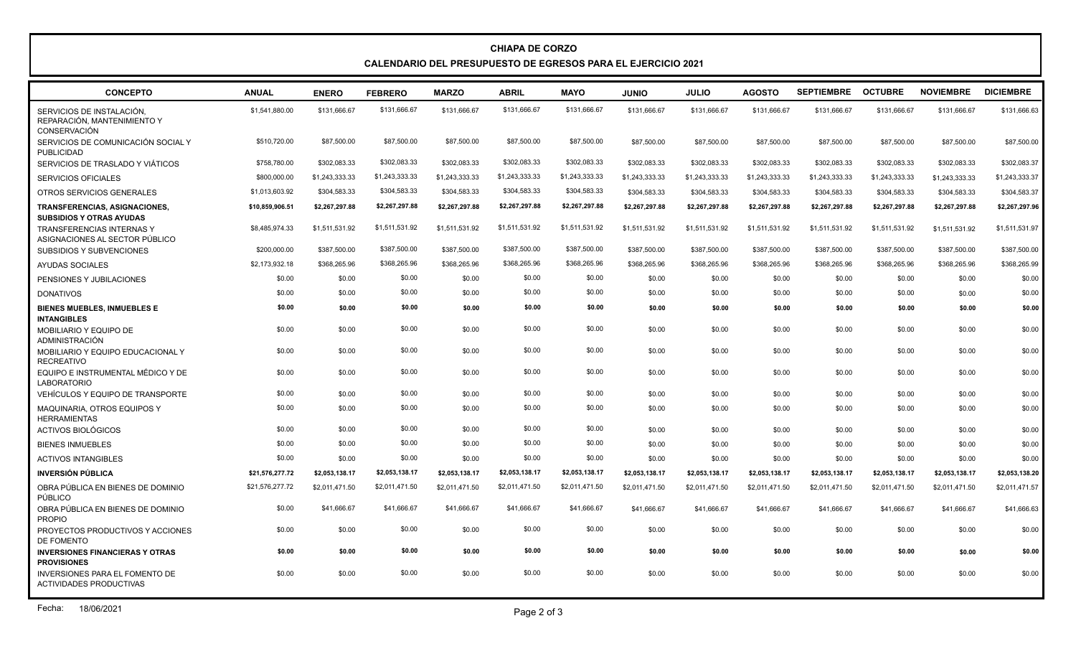## **CHIAPA DE CORZO CALENDARIO DEL PRESUPUESTO DE EGRESOS PARA EL EJERCICIO 2021**

| <b>CONCEPTO</b>                                                                 | <b>ANUAL</b>    | <b>ENERO</b>   | <b>FEBRERO</b> | <b>MARZO</b>   | <b>ABRIL</b>   | <b>MAYO</b>    | <b>JUNIO</b>   | <b>JULIO</b>   | <b>AGOSTO</b>  | <b>SEPTIEMBRE</b> | <b>OCTUBRE</b> | <b>NOVIEMBRE</b> | <b>DICIEMBRE</b> |
|---------------------------------------------------------------------------------|-----------------|----------------|----------------|----------------|----------------|----------------|----------------|----------------|----------------|-------------------|----------------|------------------|------------------|
| SERVICIOS DE INSTALACIÓN,<br>REPARACIÓN. MANTENIMIENTO Y<br><b>CONSERVACIÓN</b> | \$1,541,880.00  | \$131,666.67   | \$131,666.67   | \$131,666.67   | \$131,666.67   | \$131,666.67   | \$131,666.67   | \$131,666.67   | \$131,666.67   | \$131,666.67      | \$131,666.67   | \$131,666.67     | \$131,666.63     |
| SERVICIOS DE COMUNICACIÓN SOCIAL Y<br><b>PUBLICIDAD</b>                         | \$510,720.00    | \$87,500.00    | \$87,500.00    | \$87,500.00    | \$87,500.00    | \$87,500.00    | \$87,500.00    | \$87,500.00    | \$87,500.00    | \$87,500.00       | \$87,500.00    | \$87,500.00      | \$87,500.00      |
| SERVICIOS DE TRASLADO Y VIÁTICOS                                                | \$758,780.00    | \$302,083.33   | \$302,083.33   | \$302,083.33   | \$302,083.33   | \$302,083.33   | \$302,083.33   | \$302,083.33   | \$302,083.33   | \$302,083.33      | \$302,083.33   | \$302,083.33     | \$302,083.37     |
| <b>SERVICIOS OFICIALES</b>                                                      | \$800,000.00    | \$1,243,333.33 | \$1,243,333.33 | \$1,243,333.33 | \$1,243,333.33 | \$1,243,333.33 | \$1,243,333.33 | \$1,243,333.33 | \$1,243,333.33 | \$1,243,333.33    | \$1,243,333.33 | \$1,243,333.33   | \$1,243,333.37   |
| OTROS SERVICIOS GENERALES                                                       | \$1,013,603.92  | \$304,583.33   | \$304,583.33   | \$304,583.33   | \$304,583.33   | \$304,583.33   | \$304,583.33   | \$304,583.33   | \$304,583.33   | \$304,583.33      | \$304,583.33   | \$304,583.33     | \$304,583.37     |
| TRANSFERENCIAS, ASIGNACIONES,<br><b>SUBSIDIOS Y OTRAS AYUDAS</b>                | \$10,859,906.51 | \$2,267,297.88 | \$2,267,297.88 | \$2,267,297.88 | \$2,267,297.88 | \$2,267,297.88 | \$2,267,297.88 | \$2,267,297.88 | \$2,267,297.88 | \$2,267,297.88    | \$2,267,297.88 | \$2,267,297.88   | \$2,267,297.96   |
| <b>TRANSFERENCIAS INTERNAS Y</b><br>ASIGNACIONES AL SECTOR PÚBLICO              | \$8,485,974.33  | \$1,511,531.92 | \$1,511,531.92 | \$1,511,531.92 | \$1,511,531.92 | \$1,511,531.92 | \$1,511,531.92 | \$1,511,531.92 | \$1,511,531.92 | \$1,511,531.92    | \$1,511,531.92 | \$1,511,531.92   | \$1,511,531.97   |
| <b>SUBSIDIOS Y SUBVENCIONES</b>                                                 | \$200,000.00    | \$387,500.00   | \$387,500.00   | \$387,500.00   | \$387,500.00   | \$387,500.00   | \$387,500.00   | \$387,500.00   | \$387,500.00   | \$387,500.00      | \$387,500.00   | \$387,500.00     | \$387,500.00     |
| AYUDAS SOCIALES                                                                 | \$2,173,932.18  | \$368,265.96   | \$368,265.96   | \$368,265.96   | \$368,265.96   | \$368,265.96   | \$368,265.96   | \$368,265.96   | \$368,265.96   | \$368,265.96      | \$368,265.96   | \$368,265.96     | \$368,265.99     |
| PENSIONES Y JUBILACIONES                                                        | \$0.00          | \$0.00         | \$0.00         | \$0.00         | \$0.00         | \$0.00         | \$0.00         | \$0.00         | \$0.00         | \$0.00            | \$0.00         | \$0.00           | \$0.00           |
| <b>DONATIVOS</b>                                                                | \$0.00          | \$0.00         | \$0.00         | \$0.00         | \$0.00         | \$0.00         | \$0.00         | \$0.00         | \$0.00         | \$0.00            | \$0.00         | \$0.00           | \$0.00           |
| <b>BIENES MUEBLES, INMUEBLES E</b><br><b>INTANGIBLES</b>                        | \$0.00          | \$0.00         | \$0.00         | \$0.00         | \$0.00         | \$0.00         | \$0.00         | \$0.00         | \$0.00         | \$0.00            | \$0.00         | \$0.00           | \$0.00           |
| <b>MOBILIARIO Y EQUIPO DE</b><br>ADMINISTRACIÓN                                 | \$0.00          | \$0.00         | \$0.00         | \$0.00         | \$0.00         | \$0.00         | \$0.00         | \$0.00         | \$0.00         | \$0.00            | \$0.00         | \$0.00           | \$0.00           |
| MOBILIARIO Y EQUIPO EDUCACIONAL Y<br><b>RECREATIVO</b>                          | \$0.00          | \$0.00         | \$0.00         | \$0.00         | \$0.00         | \$0.00         | \$0.00         | \$0.00         | \$0.00         | \$0.00            | \$0.00         | \$0.00           | \$0.00           |
| EQUIPO E INSTRUMENTAL MÉDICO Y DE<br><b>LABORATORIO</b>                         | \$0.00          | \$0.00         | \$0.00         | \$0.00         | \$0.00         | \$0.00         | \$0.00         | \$0.00         | \$0.00         | \$0.00            | \$0.00         | \$0.00           | \$0.00           |
| VEHÍCULOS Y EQUIPO DE TRANSPORTE                                                | \$0.00          | \$0.00         | \$0.00         | \$0.00         | \$0.00         | \$0.00         | \$0.00         | \$0.00         | \$0.00         | \$0.00            | \$0.00         | \$0.00           | \$0.00           |
| <b>MAQUINARIA, OTROS EQUIPOS Y</b><br><b>HERRAMIENTAS</b>                       | \$0.00          | \$0.00         | \$0.00         | \$0.00         | \$0.00         | \$0.00         | \$0.00         | \$0.00         | \$0.00         | \$0.00            | \$0.00         | \$0.00           | \$0.00           |
| ACTIVOS BIOLÓGICOS                                                              | \$0.00          | \$0.00         | \$0.00         | \$0.00         | \$0.00         | \$0.00         | \$0.00         | \$0.00         | \$0.00         | \$0.00            | \$0.00         | \$0.00           | \$0.00           |
| <b>BIENES INMUEBLES</b>                                                         | \$0.00          | \$0.00         | \$0.00         | \$0.00         | \$0.00         | \$0.00         | \$0.00         | \$0.00         | \$0.00         | \$0.00            | \$0.00         | \$0.00           | \$0.00           |
| <b>ACTIVOS INTANGIBLES</b>                                                      | \$0.00          | \$0.00         | \$0.00         | \$0.00         | \$0.00         | \$0.00         | \$0.00         | \$0.00         | \$0.00         | \$0.00            | \$0.00         | \$0.00           | \$0.00           |
| <b>INVERSIÓN PÚBLICA</b>                                                        | \$21,576,277.72 | \$2,053,138.17 | \$2,053,138.17 | \$2,053,138.17 | \$2,053,138.17 | \$2,053,138.17 | \$2,053,138.17 | \$2,053,138.17 | \$2,053,138.17 | \$2,053,138.17    | \$2,053,138.17 | \$2,053,138.17   | \$2,053,138.20   |
| OBRA PÚBLICA EN BIENES DE DOMINIO<br>PÚBLICO                                    | \$21,576,277.72 | \$2,011,471.50 | \$2,011,471.50 | \$2,011,471.50 | \$2,011,471.50 | \$2,011,471.50 | \$2,011,471.50 | \$2,011,471.50 | \$2,011,471.50 | \$2,011,471.50    | \$2,011,471.50 | \$2,011,471.50   | \$2,011,471.57   |
| OBRA PÚBLICA EN BIENES DE DOMINIO<br><b>PROPIO</b>                              | \$0.00          | \$41,666.67    | \$41,666.67    | \$41,666.67    | \$41,666.67    | \$41,666.67    | \$41.666.67    | \$41,666,67    | \$41,666,67    | \$41.666.67       | \$41,666,67    | \$41,666,67      | \$41,666.63      |
| PROYECTOS PRODUCTIVOS Y ACCIONES<br>DE FOMENTO                                  | \$0.00          | \$0.00         | \$0.00         | \$0.00         | \$0.00         | \$0.00         | \$0.00         | \$0.00         | \$0.00         | \$0.00            | \$0.00         | \$0.00           | \$0.00           |
| <b>INVERSIONES FINANCIERAS Y OTRAS</b><br><b>PROVISIONES</b>                    | \$0.00          | \$0.00         | \$0.00         | \$0.00         | \$0.00         | \$0.00         | \$0.00         | \$0.00         | \$0.00         | \$0.00            | \$0.00         | \$0.00           | \$0.00           |
| <b>INVERSIONES PARA EL FOMENTO DE</b><br><b>ACTIVIDADES PRODUCTIVAS</b>         | \$0.00          | \$0.00         | \$0.00         | \$0.00         | \$0.00         | \$0.00         | \$0.00         | \$0.00         | \$0.00         | \$0.00            | \$0.00         | \$0.00           | \$0.00           |